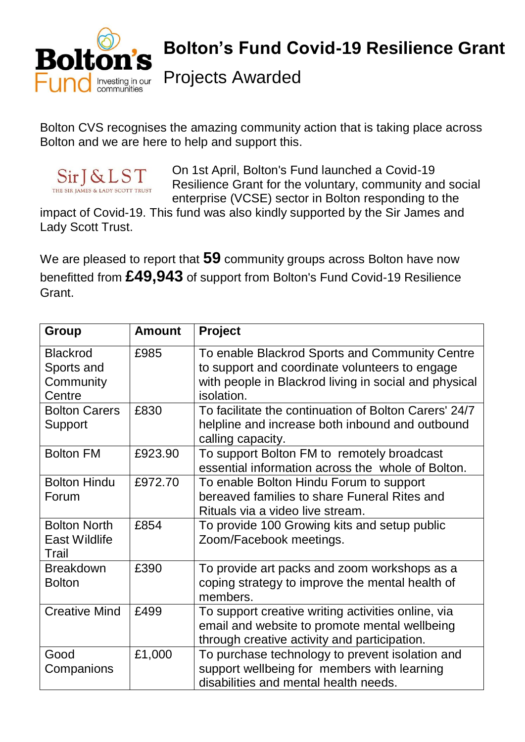

## **Bolton's Fund Covid-19 Resilience Grant**

Projects Awarded

Bolton CVS recognises the amazing community action that is taking place across Bolton and we are here to help and support this.



On 1st April, Bolton's Fund launched a Covid-19 Resilience Grant for the voluntary, community and social enterprise (VCSE) sector in Bolton responding to the

impact of Covid-19. This fund was also kindly supported by the Sir James and Lady Scott Trust.

We are pleased to report that **59** community groups across Bolton have now benefitted from **£49,943** of support from Bolton's Fund Covid-19 Resilience Grant.

| <b>Group</b>         | <b>Amount</b> | Project                                               |
|----------------------|---------------|-------------------------------------------------------|
| <b>Blackrod</b>      | £985          | To enable Blackrod Sports and Community Centre        |
| Sports and           |               | to support and coordinate volunteers to engage        |
| Community            |               | with people in Blackrod living in social and physical |
| Centre               |               | isolation.                                            |
| <b>Bolton Carers</b> | £830          | To facilitate the continuation of Bolton Carers' 24/7 |
| Support              |               | helpline and increase both inbound and outbound       |
|                      |               | calling capacity.                                     |
| <b>Bolton FM</b>     | £923.90       | To support Bolton FM to remotely broadcast            |
|                      |               | essential information across the whole of Bolton.     |
| <b>Bolton Hindu</b>  | £972.70       | To enable Bolton Hindu Forum to support               |
| Forum                |               | bereaved families to share Funeral Rites and          |
|                      |               | Rituals via a video live stream.                      |
| <b>Bolton North</b>  | £854          | To provide 100 Growing kits and setup public          |
| <b>East Wildlife</b> |               | Zoom/Facebook meetings.                               |
| Trail                |               |                                                       |
| <b>Breakdown</b>     | £390          | To provide art packs and zoom workshops as a          |
| <b>Bolton</b>        |               | coping strategy to improve the mental health of       |
|                      |               | members.                                              |
| <b>Creative Mind</b> | £499          | To support creative writing activities online, via    |
|                      |               | email and website to promote mental wellbeing         |
|                      |               | through creative activity and participation.          |
| Good                 | £1,000        | To purchase technology to prevent isolation and       |
| Companions           |               | support wellbeing for members with learning           |
|                      |               | disabilities and mental health needs.                 |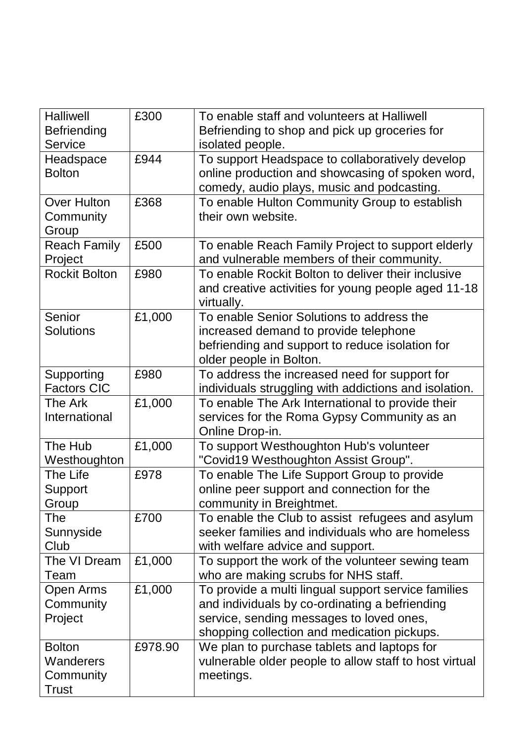| <b>Halliwell</b>     | £300    | To enable staff and volunteers at Halliwell            |
|----------------------|---------|--------------------------------------------------------|
| <b>Befriending</b>   |         | Befriending to shop and pick up groceries for          |
| <b>Service</b>       |         | isolated people.                                       |
| Headspace            | £944    | To support Headspace to collaboratively develop        |
| <b>Bolton</b>        |         | online production and showcasing of spoken word,       |
|                      |         | comedy, audio plays, music and podcasting.             |
| <b>Over Hulton</b>   | £368    | To enable Hulton Community Group to establish          |
| Community            |         | their own website.                                     |
| Group                |         |                                                        |
| <b>Reach Family</b>  | £500    | To enable Reach Family Project to support elderly      |
| Project              |         | and vulnerable members of their community.             |
| <b>Rockit Bolton</b> | £980    | To enable Rockit Bolton to deliver their inclusive     |
|                      |         | and creative activities for young people aged 11-18    |
|                      |         | virtually.                                             |
| Senior               | £1,000  | To enable Senior Solutions to address the              |
| <b>Solutions</b>     |         | increased demand to provide telephone                  |
|                      |         | befriending and support to reduce isolation for        |
|                      |         | older people in Bolton.                                |
| Supporting           | £980    | To address the increased need for support for          |
| <b>Factors CIC</b>   |         | individuals struggling with addictions and isolation.  |
| The Ark              | £1,000  | To enable The Ark International to provide their       |
| International        |         | services for the Roma Gypsy Community as an            |
|                      |         | Online Drop-in.                                        |
| The Hub              | £1,000  | To support Westhoughton Hub's volunteer                |
| Westhoughton         |         | "Covid19 Westhoughton Assist Group".                   |
| The Life             | £978    | To enable The Life Support Group to provide            |
| Support              |         | online peer support and connection for the             |
| Group                |         | community in Breightmet.                               |
| <b>The</b>           | £700    | To enable the Club to assist refugees and asylum       |
| Sunnyside            |         | seeker families and individuals who are homeless       |
| Club                 |         | with welfare advice and support.                       |
| The VI Dream         | £1,000  | To support the work of the volunteer sewing team       |
| Team                 |         | who are making scrubs for NHS staff.                   |
| Open Arms            | £1,000  | To provide a multi lingual support service families    |
| Community            |         | and individuals by co-ordinating a befriending         |
| Project              |         | service, sending messages to loved ones,               |
|                      |         | shopping collection and medication pickups.            |
| <b>Bolton</b>        | £978.90 | We plan to purchase tablets and laptops for            |
| Wanderers            |         | vulnerable older people to allow staff to host virtual |
| Community            |         | meetings.                                              |
| <b>Trust</b>         |         |                                                        |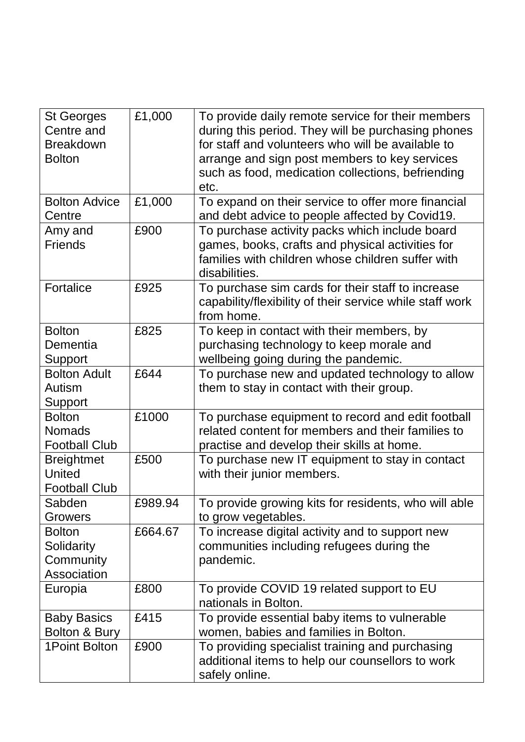| <b>St Georges</b><br>Centre and<br><b>Breakdown</b><br><b>Bolton</b> | £1,000  | To provide daily remote service for their members<br>during this period. They will be purchasing phones<br>for staff and volunteers who will be available to<br>arrange and sign post members to key services<br>such as food, medication collections, befriending |
|----------------------------------------------------------------------|---------|--------------------------------------------------------------------------------------------------------------------------------------------------------------------------------------------------------------------------------------------------------------------|
| <b>Bolton Advice</b>                                                 | £1,000  | etc.<br>To expand on their service to offer more financial                                                                                                                                                                                                         |
| Centre<br>Amy and<br><b>Friends</b>                                  | £900    | and debt advice to people affected by Covid19.<br>To purchase activity packs which include board<br>games, books, crafts and physical activities for<br>families with children whose children suffer with<br>disabilities.                                         |
| Fortalice                                                            | £925    | To purchase sim cards for their staff to increase<br>capability/flexibility of their service while staff work<br>from home.                                                                                                                                        |
| <b>Bolton</b><br>Dementia<br>Support                                 | £825    | To keep in contact with their members, by<br>purchasing technology to keep morale and<br>wellbeing going during the pandemic.                                                                                                                                      |
| <b>Bolton Adult</b><br>Autism<br>Support                             | £644    | To purchase new and updated technology to allow<br>them to stay in contact with their group.                                                                                                                                                                       |
| <b>Bolton</b><br><b>Nomads</b><br><b>Football Club</b>               | £1000   | To purchase equipment to record and edit football<br>related content for members and their families to<br>practise and develop their skills at home.                                                                                                               |
| <b>Breightmet</b><br><b>United</b><br><b>Football Club</b>           | £500    | To purchase new IT equipment to stay in contact<br>with their junior members.                                                                                                                                                                                      |
| Sabden<br>Growers                                                    | £989.94 | To provide growing kits for residents, who will able<br>to grow vegetables.                                                                                                                                                                                        |
| <b>Bolton</b><br>Solidarity<br>Community<br>Association              | £664.67 | To increase digital activity and to support new<br>communities including refugees during the<br>pandemic.                                                                                                                                                          |
| Europia                                                              | £800    | To provide COVID 19 related support to EU<br>nationals in Bolton.                                                                                                                                                                                                  |
| <b>Baby Basics</b><br>Bolton & Bury                                  | £415    | To provide essential baby items to vulnerable<br>women, babies and families in Bolton.                                                                                                                                                                             |
| 1Point Bolton                                                        | £900    | To providing specialist training and purchasing<br>additional items to help our counsellors to work<br>safely online.                                                                                                                                              |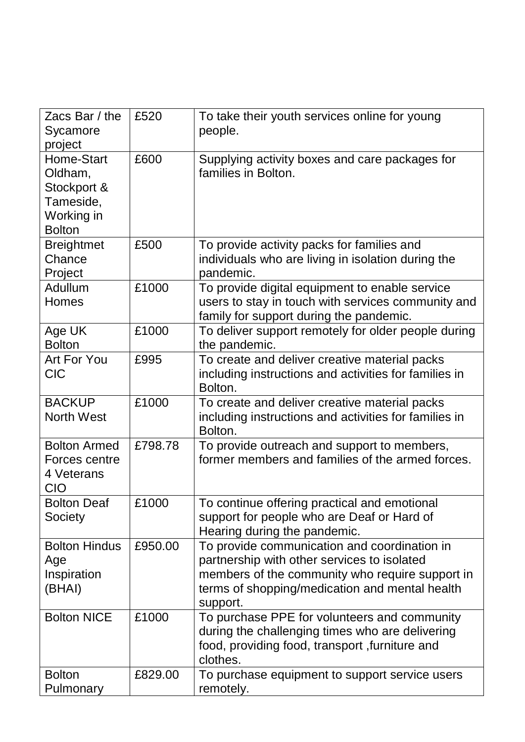| Zacs Bar / the<br>Sycamore<br>project                                            | £520    | To take their youth services online for young<br>people.                                                                                                                                                     |
|----------------------------------------------------------------------------------|---------|--------------------------------------------------------------------------------------------------------------------------------------------------------------------------------------------------------------|
| Home-Start<br>Oldham,<br>Stockport &<br>Tameside,<br>Working in<br><b>Bolton</b> | £600    | Supplying activity boxes and care packages for<br>families in Bolton.                                                                                                                                        |
| <b>Breightmet</b><br>Chance<br>Project                                           | £500    | To provide activity packs for families and<br>individuals who are living in isolation during the<br>pandemic.                                                                                                |
| Adullum<br>Homes                                                                 | £1000   | To provide digital equipment to enable service<br>users to stay in touch with services community and<br>family for support during the pandemic.                                                              |
| Age UK<br><b>Bolton</b>                                                          | £1000   | To deliver support remotely for older people during<br>the pandemic.                                                                                                                                         |
| Art For You<br><b>CIC</b>                                                        | £995    | To create and deliver creative material packs<br>including instructions and activities for families in<br>Bolton.                                                                                            |
| <b>BACKUP</b><br><b>North West</b>                                               | £1000   | To create and deliver creative material packs<br>including instructions and activities for families in<br>Bolton.                                                                                            |
| <b>Bolton Armed</b><br>Forces centre<br>4 Veterans<br>CIO                        | £798.78 | To provide outreach and support to members,<br>former members and families of the armed forces.                                                                                                              |
| <b>Bolton Deaf</b><br>Society                                                    | £1000   | To continue offering practical and emotional<br>support for people who are Deaf or Hard of<br>Hearing during the pandemic.                                                                                   |
| <b>Bolton Hindus</b><br>Age<br>Inspiration<br>(BHAI)                             | £950.00 | To provide communication and coordination in<br>partnership with other services to isolated<br>members of the community who require support in<br>terms of shopping/medication and mental health<br>support. |
| <b>Bolton NICE</b>                                                               | £1000   | To purchase PPE for volunteers and community<br>during the challenging times who are delivering<br>food, providing food, transport, furniture and<br>clothes.                                                |
| <b>Bolton</b><br>Pulmonary                                                       | £829.00 | To purchase equipment to support service users<br>remotely.                                                                                                                                                  |